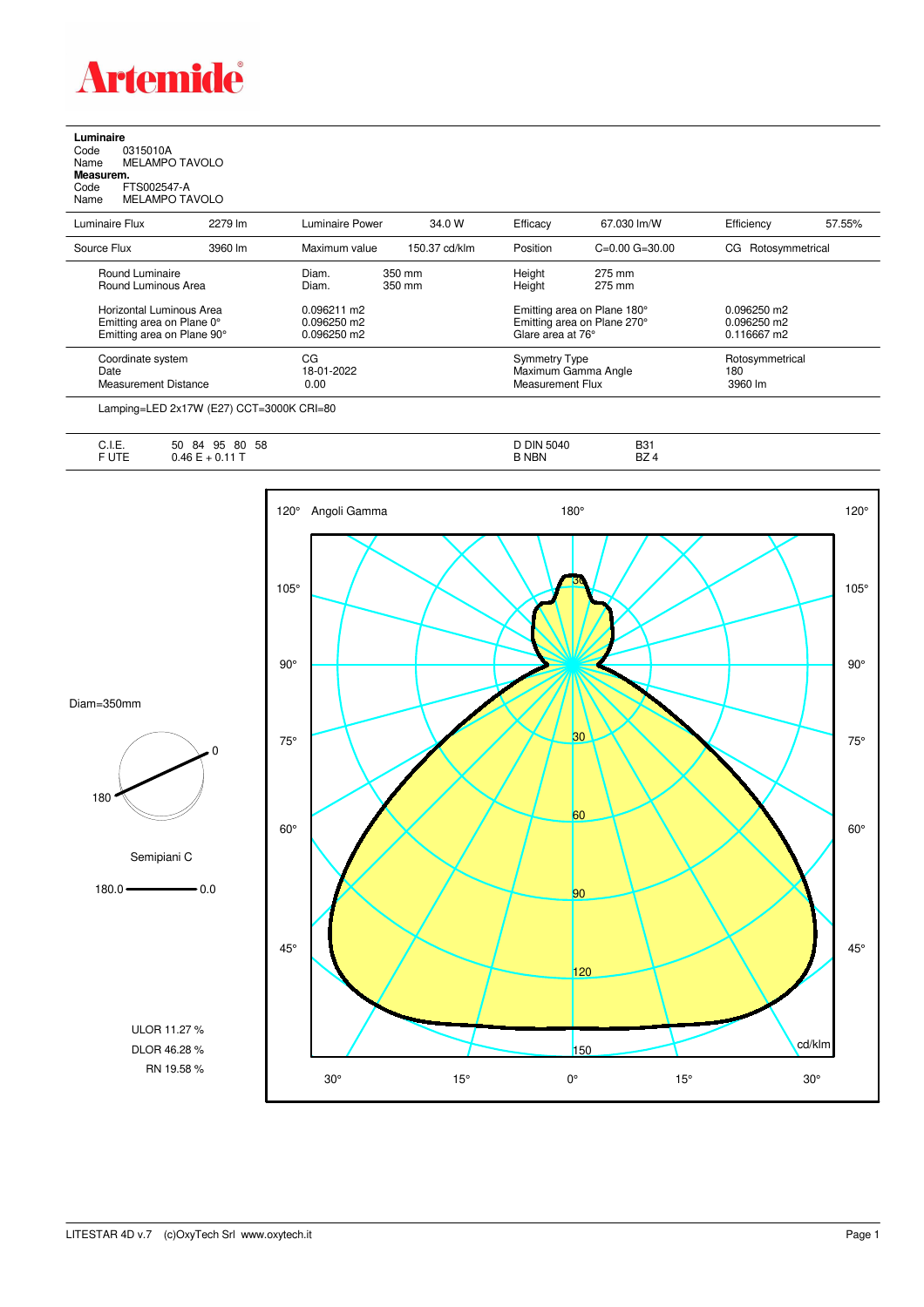

**Luminaire**<br>Code (<br>Name M Code 0315010A Name MELAMPO TAVOLO **Measurem.** Code FTS002547-A Name MELAMPO TAVOLO

| Name<br>MELAMPO TAVOLO                 |         |                 |                  |                  |                    |                    |        |
|----------------------------------------|---------|-----------------|------------------|------------------|--------------------|--------------------|--------|
| Luminaire Flux                         | 2279 lm | Luminaire Power | 34.0 W           | Efficacy         | 67.030 lm/W        | Efficiency         | 57.55% |
| Source Flux                            | 3960 lm | Maximum value   | 150.37 cd/klm    | Position         | $C=0.00$ $G=30.00$ | CG Rotosymmetrical |        |
| Round Luminaire<br>Round Luminous Area |         | Diam.<br>Diam.  | 350 mm<br>350 mm | Height<br>Height | 275 mm<br>275 mm   |                    |        |

| Coordinate system<br>Date<br><b>Measurement Distance</b>                            | СG<br>18-01-2022<br>0.00                    |        | Symmetry Type<br>Maximum Gamma Angle<br>Measurement Flux                        |          | Rotosymmetrical<br>180<br>3960 lm                    |
|-------------------------------------------------------------------------------------|---------------------------------------------|--------|---------------------------------------------------------------------------------|----------|------------------------------------------------------|
| Horizontal Luminous Area<br>Emitting area on Plane 0°<br>Emitting area on Plane 90° | 0.096211 m2<br>0.096250 m2<br>$0.096250$ m2 |        | Emitting area on Plane 180°<br>Emitting area on Plane 270°<br>Glare area at 76° |          | $0.096250 \text{ m}$<br>$0.096250$ m2<br>0.116667 m2 |
| Round Luminous Area                                                                 | Diam.                                       | 350 mm | Height                                                                          | $2/5$ mm |                                                      |

Lamping=LED 2x17W (E27) CCT=3000K CRI=80

| $\overline{a}$<br>◡…… | 58<br>95<br>80<br>50<br>84 | Din<br>5040<br>◡ | <b>B31</b> |
|-----------------------|----------------------------|------------------|------------|
| $\sim$ $ -$<br>-      | $\sqrt{2}$                 | <b>NBN</b>       | D7<br>DZ 4 |